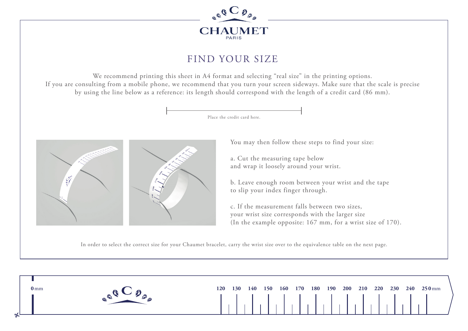

## FIND YOUR SIZE

We recommend printing this sheet in A4 format and selecting "real size" in the printing options. If you are consulting from a mobile phone, we recommend that you turn your screen sideways. Make sure that the scale is precise by using the line below as a reference: its length should correspond with the length of a credit card (86 mm).

Place the credit card here.



You may then follow these steps to find your size:

a. Cut the measuring tape below and wrap it loosely around your wrist.

b. Leave enough room between your wrist and the tape to slip your index finger through.

c. If the measurement falls between two sizes, your wrist size corresponds with the larger size (In the example opposite: 167 mm, for a wrist size of 170).

In order to select the correct size for your Chaumet bracelet, carry the wrist size over to the equivalence table on the next page.